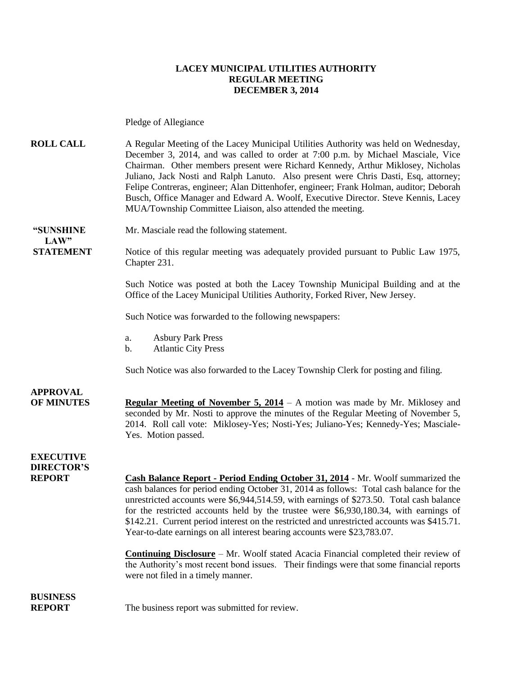#### **LACEY MUNICIPAL UTILITIES AUTHORITY REGULAR MEETING DECEMBER 3, 2014**

Pledge of Allegiance

**ROLL CALL** A Regular Meeting of the Lacey Municipal Utilities Authority was held on Wednesday, December 3, 2014, and was called to order at 7:00 p.m. by Michael Masciale, Vice Chairman. Other members present were Richard Kennedy, Arthur Miklosey, Nicholas Juliano, Jack Nosti and Ralph Lanuto. Also present were Chris Dasti, Esq, attorney; Felipe Contreras, engineer; Alan Dittenhofer, engineer; Frank Holman, auditor; Deborah Busch, Office Manager and Edward A. Woolf, Executive Director. Steve Kennis, Lacey MUA/Township Committee Liaison, also attended the meeting.

**"SUNSHINE** Mr. Masciale read the following statement.  $LAW"$ 

**STATEMENT** Notice of this regular meeting was adequately provided pursuant to Public Law 1975, Chapter 231.

> Such Notice was posted at both the Lacey Township Municipal Building and at the Office of the Lacey Municipal Utilities Authority, Forked River, New Jersey.

Such Notice was forwarded to the following newspapers:

- a. Asbury Park Press
- b. Atlantic City Press

Such Notice was also forwarded to the Lacey Township Clerk for posting and filing.

**APPROVAL OF MINUTES Regular Meeting of November 5, 2014** – A motion was made by Mr. Miklosey and seconded by Mr. Nosti to approve the minutes of the Regular Meeting of November 5, 2014. Roll call vote: Miklosey-Yes; Nosti-Yes; Juliano-Yes; Kennedy-Yes; Masciale-Yes. Motion passed. **EXECUTIVE** 

**REPORT Cash Balance Report - Period Ending October 31, 2014** - Mr. Woolf summarized the cash balances for period ending October 31, 2014 as follows: Total cash balance for the unrestricted accounts were \$6,944,514.59, with earnings of \$273.50. Total cash balance for the restricted accounts held by the trustee were \$6,930,180.34, with earnings of \$142.21. Current period interest on the restricted and unrestricted accounts was \$415.71. Year-to-date earnings on all interest bearing accounts were \$23,783.07.

> **Continuing Disclosure** – Mr. Woolf stated Acacia Financial completed their review of the Authority's most recent bond issues. Their findings were that some financial reports were not filed in a timely manner.

### **BUSINESS**

**DIRECTOR'S**

**REPORT** The business report was submitted for review.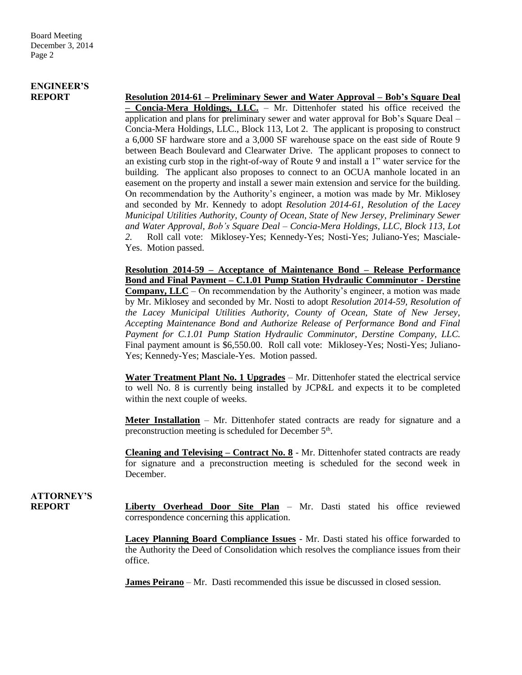# **ENGINEER'S**

**REPORT Resolution 2014-61 – Preliminary Sewer and Water Approval – Bob's Square Deal – Concia-Mera Holdings, LLC.** – Mr. Dittenhofer stated his office received the application and plans for preliminary sewer and water approval for Bob's Square Deal – Concia-Mera Holdings, LLC., Block 113, Lot 2. The applicant is proposing to construct a 6,000 SF hardware store and a 3,000 SF warehouse space on the east side of Route 9 between Beach Boulevard and Clearwater Drive. The applicant proposes to connect to an existing curb stop in the right-of-way of Route 9 and install a 1" water service for the building. The applicant also proposes to connect to an OCUA manhole located in an easement on the property and install a sewer main extension and service for the building. On recommendation by the Authority's engineer, a motion was made by Mr. Miklosey and seconded by Mr. Kennedy to adopt *Resolution 2014-61, Resolution of the Lacey Municipal Utilities Authority, County of Ocean, State of New Jersey, Preliminary Sewer and Water Approval, Bob's Square Deal – Concia-Mera Holdings, LLC, Block 113, Lot 2.* Roll call vote: Miklosey-Yes; Kennedy-Yes; Nosti-Yes; Juliano-Yes; Masciale-Yes. Motion passed.

> **Resolution 2014-59 – Acceptance of Maintenance Bond – Release Performance Bond and Final Payment – C.1.01 Pump Station Hydraulic Comminutor - Derstine Company, LLC** – On recommendation by the Authority's engineer, a motion was made by Mr. Miklosey and seconded by Mr. Nosti to adopt *Resolution 2014-59, Resolution of the Lacey Municipal Utilities Authority, County of Ocean, State of New Jersey, Accepting Maintenance Bond and Authorize Release of Performance Bond and Final Payment for C.1.01 Pump Station Hydraulic Comminutor, Derstine Company, LLC.*  Final payment amount is \$6,550.00. Roll call vote: Miklosey-Yes; Nosti-Yes; Juliano-Yes; Kennedy-Yes; Masciale-Yes. Motion passed.

> **Water Treatment Plant No. 1 Upgrades** – Mr. Dittenhofer stated the electrical service to well No. 8 is currently being installed by JCP&L and expects it to be completed within the next couple of weeks.

> **Meter Installation** – Mr. Dittenhofer stated contracts are ready for signature and a preconstruction meeting is scheduled for December 5<sup>th</sup>.

> **Cleaning and Televising – Contract No. 8** - Mr. Dittenhofer stated contracts are ready for signature and a preconstruction meeting is scheduled for the second week in December.

## **ATTORNEY'S**

**REPORT Liberty Overhead Door Site Plan** – Mr. Dasti stated his office reviewed correspondence concerning this application.

> **Lacey Planning Board Compliance Issues** - Mr. Dasti stated his office forwarded to the Authority the Deed of Consolidation which resolves the compliance issues from their office.

**James Peirano** – Mr. Dasti recommended this issue be discussed in closed session.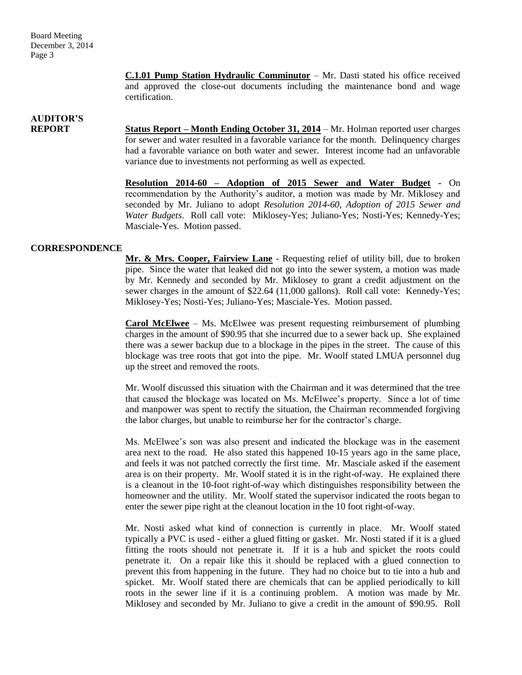> **C.1.01 Pump Station Hydraulic Comminutor** – Mr. Dasti stated his office received and approved the close-out documents including the maintenance bond and wage certification.

# **AUDITOR'S**

**REPORT Status Report – Month Ending October 31, 2014** – Mr. Holman reported user charges for sewer and water resulted in a favorable variance for the month. Delinquency charges had a favorable variance on both water and sewer. Interest income had an unfavorable variance due to investments not performing as well as expected.

> **Resolution 2014-60 – Adoption of 2015 Sewer and Water Budget -** On recommendation by the Authority's auditor, a motion was made by Mr. Miklosey and seconded by Mr. Juliano to adopt *Resolution 2014-60, Adoption of 2015 Sewer and Water Budgets*. Roll call vote: Miklosey-Yes; Juliano-Yes; Nosti-Yes; Kennedy-Yes; Masciale-Yes. Motion passed.

### **CORRESPONDENCE**

**Mr. & Mrs. Cooper, Fairview Lane** - Requesting relief of utility bill, due to broken pipe. Since the water that leaked did not go into the sewer system, a motion was made by Mr. Kennedy and seconded by Mr. Miklosey to grant a credit adjustment on the sewer charges in the amount of \$22.64 (11,000 gallons). Roll call vote: Kennedy-Yes; Miklosey-Yes; Nosti-Yes; Juliano-Yes; Masciale-Yes. Motion passed.

**Carol McElwee** – Ms. McElwee was present requesting reimbursement of plumbing charges in the amount of \$90.95 that she incurred due to a sewer back up. She explained there was a sewer backup due to a blockage in the pipes in the street. The cause of this blockage was tree roots that got into the pipe. Mr. Woolf stated LMUA personnel dug up the street and removed the roots.

Mr. Woolf discussed this situation with the Chairman and it was determined that the tree that caused the blockage was located on Ms. McElwee's property. Since a lot of time and manpower was spent to rectify the situation, the Chairman recommended forgiving the labor charges, but unable to reimburse her for the contractor's charge.

Ms. McElwee's son was also present and indicated the blockage was in the easement area next to the road. He also stated this happened 10-15 years ago in the same place, and feels it was not patched correctly the first time. Mr. Masciale asked if the easement area is on their property. Mr. Woolf stated it is in the right-of-way. He explained there is a cleanout in the 10-foot right-of-way which distinguishes responsibility between the homeowner and the utility. Mr. Woolf stated the supervisor indicated the roots began to enter the sewer pipe right at the cleanout location in the 10 foot right-of-way.

Mr. Nosti asked what kind of connection is currently in place. Mr. Woolf stated typically a PVC is used - either a glued fitting or gasket. Mr. Nosti stated if it is a glued fitting the roots should not penetrate it. If it is a hub and spicket the roots could penetrate it. On a repair like this it should be replaced with a glued connection to prevent this from happening in the future. They had no choice but to tie into a hub and spicket. Mr. Woolf stated there are chemicals that can be applied periodically to kill roots in the sewer line if it is a continuing problem. A motion was made by Mr. Miklosey and seconded by Mr. Juliano to give a credit in the amount of \$90.95. Roll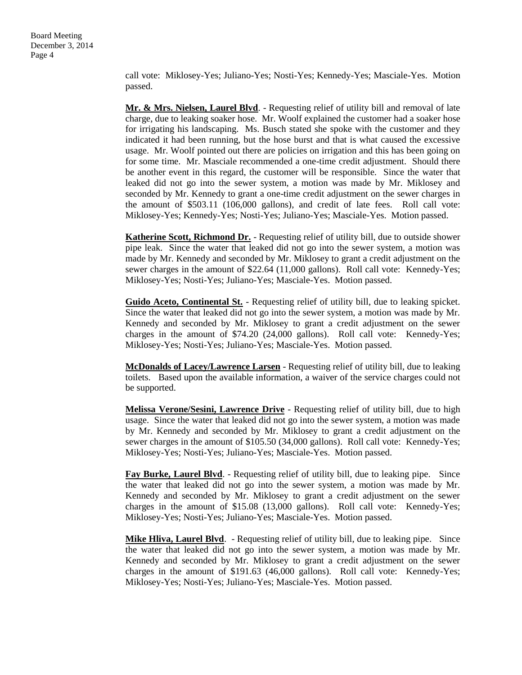> call vote: Miklosey-Yes; Juliano-Yes; Nosti-Yes; Kennedy-Yes; Masciale-Yes. Motion passed.

> **Mr. & Mrs. Nielsen, Laurel Blvd**. - Requesting relief of utility bill and removal of late charge, due to leaking soaker hose. Mr. Woolf explained the customer had a soaker hose for irrigating his landscaping. Ms. Busch stated she spoke with the customer and they indicated it had been running, but the hose burst and that is what caused the excessive usage. Mr. Woolf pointed out there are policies on irrigation and this has been going on for some time. Mr. Masciale recommended a one-time credit adjustment. Should there be another event in this regard, the customer will be responsible. Since the water that leaked did not go into the sewer system, a motion was made by Mr. Miklosey and seconded by Mr. Kennedy to grant a one-time credit adjustment on the sewer charges in the amount of \$503.11 (106,000 gallons), and credit of late fees. Roll call vote: Miklosey-Yes; Kennedy-Yes; Nosti-Yes; Juliano-Yes; Masciale-Yes. Motion passed.

> **Katherine Scott, Richmond Dr.** - Requesting relief of utility bill, due to outside shower pipe leak. Since the water that leaked did not go into the sewer system, a motion was made by Mr. Kennedy and seconded by Mr. Miklosey to grant a credit adjustment on the sewer charges in the amount of \$22.64 (11,000 gallons). Roll call vote: Kennedy-Yes; Miklosey-Yes; Nosti-Yes; Juliano-Yes; Masciale-Yes. Motion passed.

> **Guido Aceto, Continental St.** - Requesting relief of utility bill, due to leaking spicket. Since the water that leaked did not go into the sewer system, a motion was made by Mr. Kennedy and seconded by Mr. Miklosey to grant a credit adjustment on the sewer charges in the amount of \$74.20 (24,000 gallons). Roll call vote: Kennedy-Yes; Miklosey-Yes; Nosti-Yes; Juliano-Yes; Masciale-Yes. Motion passed.

> **McDonalds of Lacey/Lawrence Larsen** - Requesting relief of utility bill, due to leaking toilets. Based upon the available information, a waiver of the service charges could not be supported.

> **Melissa Verone/Sesini, Lawrence Drive** - Requesting relief of utility bill, due to high usage. Since the water that leaked did not go into the sewer system, a motion was made by Mr. Kennedy and seconded by Mr. Miklosey to grant a credit adjustment on the sewer charges in the amount of \$105.50 (34,000 gallons). Roll call vote: Kennedy-Yes; Miklosey-Yes; Nosti-Yes; Juliano-Yes; Masciale-Yes. Motion passed.

> **Fay Burke, Laurel Blvd.** - Requesting relief of utility bill, due to leaking pipe. Since the water that leaked did not go into the sewer system, a motion was made by Mr. Kennedy and seconded by Mr. Miklosey to grant a credit adjustment on the sewer charges in the amount of \$15.08 (13,000 gallons). Roll call vote: Kennedy-Yes; Miklosey-Yes; Nosti-Yes; Juliano-Yes; Masciale-Yes. Motion passed.

> **Mike Hliva, Laurel Blvd**. - Requesting relief of utility bill, due to leaking pipe. Since the water that leaked did not go into the sewer system, a motion was made by Mr. Kennedy and seconded by Mr. Miklosey to grant a credit adjustment on the sewer charges in the amount of \$191.63 (46,000 gallons). Roll call vote: Kennedy-Yes; Miklosey-Yes; Nosti-Yes; Juliano-Yes; Masciale-Yes. Motion passed.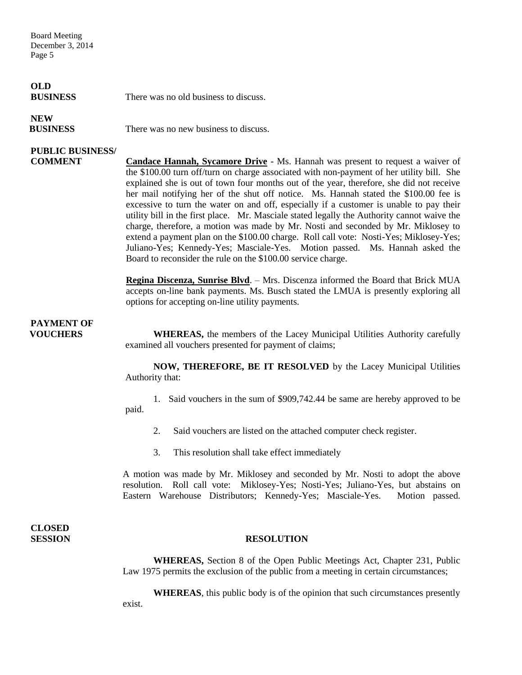## **OLD**

**BUSINESS** There was no old business to discuss.

## **NEW**

**BUSINESS** There was no new business to discuss.

### **PUBLIC BUSINESS/**

**COMMENT Candace Hannah, Sycamore Drive** - Ms. Hannah was present to request a waiver of the \$100.00 turn off/turn on charge associated with non-payment of her utility bill. She explained she is out of town four months out of the year, therefore, she did not receive her mail notifying her of the shut off notice. Ms. Hannah stated the \$100.00 fee is excessive to turn the water on and off, especially if a customer is unable to pay their utility bill in the first place. Mr. Masciale stated legally the Authority cannot waive the charge, therefore, a motion was made by Mr. Nosti and seconded by Mr. Miklosey to extend a payment plan on the \$100.00 charge. Roll call vote: Nosti-Yes; Miklosey-Yes; Juliano-Yes; Kennedy-Yes; Masciale-Yes. Motion passed. Ms. Hannah asked the Board to reconsider the rule on the \$100.00 service charge.

> **Regina Discenza, Sunrise Blvd**. – Mrs. Discenza informed the Board that Brick MUA accepts on-line bank payments. Ms. Busch stated the LMUA is presently exploring all options for accepting on-line utility payments.

## **PAYMENT OF**

**VOUCHERS** WHEREAS, the members of the Lacey Municipal Utilities Authority carefully examined all vouchers presented for payment of claims;

> **NOW, THEREFORE, BE IT RESOLVED** by the Lacey Municipal Utilities Authority that:

> 1. Said vouchers in the sum of \$909,742.44 be same are hereby approved to be paid.

- 2. Said vouchers are listed on the attached computer check register.
- 3. This resolution shall take effect immediately

A motion was made by Mr. Miklosey and seconded by Mr. Nosti to adopt the above resolution. Roll call vote: Miklosey-Yes; Nosti-Yes; Juliano-Yes, but abstains on Eastern Warehouse Distributors; Kennedy-Yes; Masciale-Yes. Motion passed.

**CLOSED** 

#### **SESSION RESOLUTION**

**WHEREAS,** Section 8 of the Open Public Meetings Act, Chapter 231, Public Law 1975 permits the exclusion of the public from a meeting in certain circumstances;

**WHEREAS**, this public body is of the opinion that such circumstances presently exist.